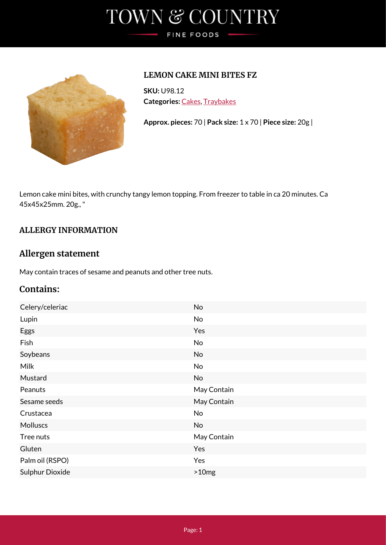# TOWN & COUNTRY FINE FOODS



### **LEMON CAKE MINI BITES FZ**

**SKU:** U98.12 **Categories:** [Cakes,](https://www.tcfinefoods.co.uk/product-category/cakes/) [Traybakes](https://www.tcfinefoods.co.uk/product-category/cakes/traybakes/)

**Approx. pieces:** 70 | **Pack size:** 1 x 70 | **Piece size:** 20g |

Lemon cake mini bites, with crunchy tangy lemon topping. From freezer to table in ca 20 minutes. Ca 45x45x25mm. 20g., "

### **ALLERGY INFORMATION**

### **Allergen statement**

May contain traces of sesame and peanuts and other tree nuts.

## **Contains:**

| Celery/celeriac        | No          |
|------------------------|-------------|
| Lupin                  | No          |
| Eggs                   | Yes         |
| Fish                   | No          |
| Soybeans               | No          |
| <b>Milk</b>            | No          |
| Mustard                | No          |
| Peanuts                | May Contain |
| Sesame seeds           | May Contain |
| Crustacea              | No          |
| <b>Molluscs</b>        | No          |
| Tree nuts              | May Contain |
| Gluten                 | Yes         |
| Palm oil (RSPO)        | Yes         |
| <b>Sulphur Dioxide</b> | >10mg       |